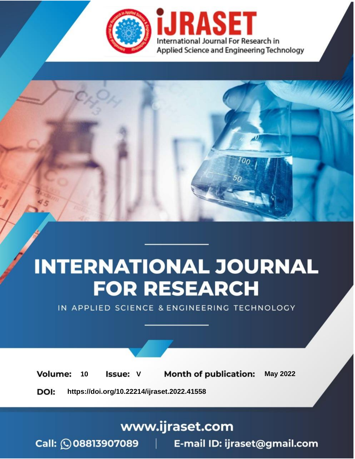

# **INTERNATIONAL JOURNAL FOR RESEARCH**

IN APPLIED SCIENCE & ENGINEERING TECHNOLOGY

Volume: **Month of publication: May 2022** 10 **Issue: V** 

DOI: https://doi.org/10.22214/ijraset.2022.41558

www.ijraset.com

Call: 008813907089 | E-mail ID: ijraset@gmail.com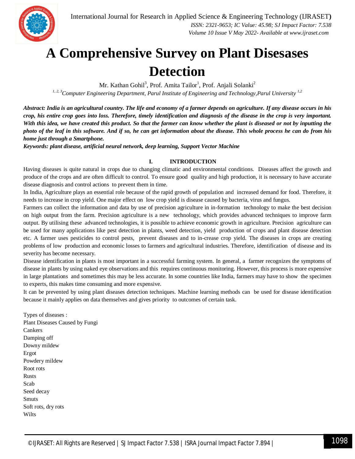

### **A Comprehensive Survey on Plant Disesases Detection**

Mr. Kathan Gohil<sup>3</sup>, Prof. Amita Tailor<sup>1</sup>, Prof. Anjali Solanki<sup>2</sup> *1, 2, 3Computer Engineering Department, Parul Institute of Engineering and Technology,Parul University 1,2* 

*Abstract: India is an agricultural country. The life and economy of a farmer depends on agriculture. If any disease occurs in his crop, his entire crop goes into loss. Therefore, timely identification and diagnosis of the disease in the crop is very important. With this idea, we have created this product. So that the farmer can know whether the plant is diseased or not by inputting the photo of the leaf in this software. And if so, he can get information about the disease. This whole process he can do from his home just through a Smartphone.*

*Keywords: plant disease, artificial neural network, deep learning, Support Vector Machine*

#### **I. INTRODUCTION**

Having diseases is quite natural in crops due to changing climatic and environmental conditions. Diseases affect the growth and produce of the crops and are often difficult to control. To ensure good quality and high production, it is necessary to have accurate disease diagnosis and control actions to prevent them in time.

In India, Agriculture plays an essential role because of the rapid growth of population and increased demand for food. Therefore, it needs to increase in crop yield. One major effect on low crop yield is disease caused by bacteria, virus and fungus.

Farmers can collect the information and data by use of precision agriculture in in-formation technology to make the best decision on high output from the farm. Precision agriculture is a new technology, which provides advanced techniques to improve farm output. By utilising these advanced technologies, it is possible to achieve economic growth in agriculture. Precision agriculture can be used for many applications like pest detection in plants, weed detection, yield production of crops and plant disease detection etc. A farmer uses pesticides to control pests, prevent diseases and to in-crease crop yield. The diseases in crops are creating problems of low production and economic losses to farmers and agricultural industries. Therefore, identification of disease and its severity has become necessary.

Disease identification in plants is most important in a successful farming system. In general, a farmer recognizes the symptoms of disease in plants by using naked eye observations and this requires continuous monitoring. However, this process is more expensive in large plantations and sometimes this may be less accurate. In some countries like India, farmers may have to show the specimen to experts, this makes time consuming and more expensive.

It can be prevented by using plant diseases detection techniques. Machine learning methods can be used for disease identification because it mainly applies on data themselves and gives priority to outcomes of certain task.

Types of diseases : Plant Diseases Caused by Fungi Cankers Damping off Downy mildew Ergot Powdery mildew Root rots Rusts Scab Seed decay Smuts Soft rots, dry rots Wilts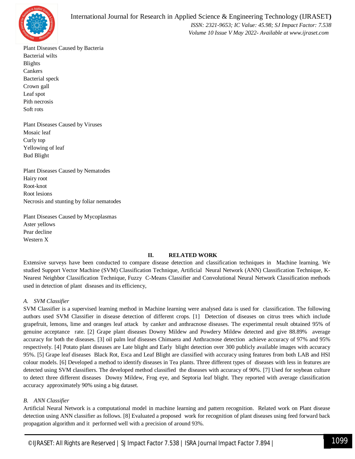

Plant Diseases Caused by Bacteria Bacterial wilts Blights Cankers Bacterial speck Crown gall Leaf spot Pith necrosis Soft rots

Plant Diseases Caused by Viruses Mosaic leaf Curly top Yellowing of leaf Bud Blight

Plant Diseases Caused by Nematodes Hairy root Root-knot Root lesions Necrosis and stunting by foliar nematodes

Plant Diseases Caused by Mycoplasmas Aster yellows Pear decline Western X

#### **II. RELATED WORK**

Extensive surveys have been conducted to compare disease detection and classification techniques in Machine learning. We studied Support Vector Machine (SVM) Classification Technique, Artificial Neural Network (ANN) Classification Technique, K-Nearest Neighbor Classification Technique, Fuzzy C-Means Classifier and Convolutional Neural Network Classification methods used in detection of plant diseases and its efficiency,

#### *A. SVM Classifier*

SVM Classifier is a supervised learning method in Machine learning were analysed data is used for classification. The following authors used SVM Classifier in disease detection of different crops. [1] Detection of diseases on citrus trees which include grapefruit, lemons, lime and oranges leaf attack by canker and anthracnose diseases. The experimental result obtained 95% of genuine acceptance rate. [2] Grape plant diseases Downy Mildew and Powdery Mildew detected and give 88.89% average accuracy for both the diseases. [3] oil palm leaf diseases Chimaera and Anthracnose detection achieve accuracy of 97% and 95% respectively. [4] Potato plant diseases are Late blight and Early blight detection over 300 publicly available images with accuracy 95%. [5] Grape leaf diseases Black Rot, Esca and Leaf Blight are classified with accuracy using features from both LAB and HSI colour models. [6] Developed a method to identify diseases in Tea plants. Three different types of diseases with less in features are detected using SVM classifiers. The developed method classified the diseases with accuracy of 90%. [7] Used for soybean culture to detect three different diseases Downy Mildew, Frog eye, and Septoria leaf blight. They reported with average classification accuracy approximately 90% using a big dataset.

#### *B. ANN Classifier*

Artificial Neural Network is a computational model in machine learning and pattern recognition. Related work on Plant disease detection using ANN classifier as follows. [8] Evaluated a proposed work for recognition of plant diseases using feed forward back propagation algorithm and it performed well with a precision of around 93%.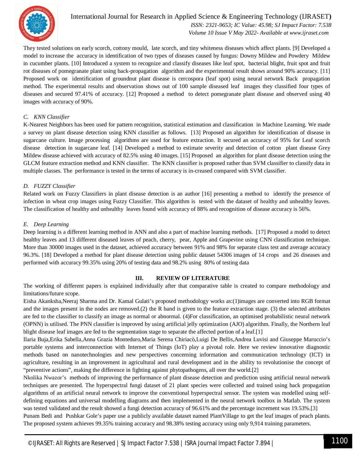

International Journal for Research in Applied Science & Engineering Technology (IJRASET**)**  *ISSN: 2321-9653; IC Value: 45.98; SJ Impact Factor: 7.538 Volume 10 Issue V May 2022- Available at www.ijraset.com*

They tested solutions on early scorch, cottony mould, late scorch, and tiny whiteness diseases which affect plants. [9] Developed a model to increase the accuracy in identification of two types of diseases caused by fungus: Downy Mildew and Powdery Mildew in cucumber plants. [10] Introduced a system to recognize and classify diseases like leaf spot, bacterial blight, fruit spot and fruit rot diseases of pomegranate plant using back-propagation algorithm and the experimental result shows around 90% accuracy. [11] Proposed work on identification of groundnut plant disease is cercospora (leaf spot) using neural network Back propagation method. The experimental results and observation shows out of 100 sample diseased leaf images they classified four types of diseases and secured 97.41% of accuracy. [12] Proposed a method to detect pomegranate plant disease and observed using 40 images with accuracy of 90%.

#### *C. KNN Classifier*

K-Nearest Neighbors has been used for pattern recognition, statistical estimation and classification in Machine Learning. We made a survey on plant disease detection using KNN classifier as follows. [13] Proposed an algorithm for identification of disease in sugarcane culture. Image processing algorithms are used for feature extraction. It secured an accuracy of 95% for Leaf scorch disease detection in sugarcane leaf. [14] Developed a method to estimate severity and detection of cotton plant disease Grey Mildew disease achieved with accuracy of 82.5% using 40 images. [15] Proposed an algorithm for plant disease detection using the GLCM feature extraction method and KNN classifier. The KNN classifier is proposed rather than SVM classifier to classify data in multiple classes. The performance is tested in the terms of accuracy is in-creased compared with SVM classifier.

#### *D. FUZZY Classifier*

Related work on Fuzzy Classifiers in plant disease detection is an author [16] presenting a method to identify the presence of infection in wheat crop images using Fuzzy Classifier. This algorithm is tested with the dataset of healthy and unhealthy leaves. The classification of healthy and unhealthy leaves found with accuracy of 88% and recognition of disease accuracy is 56%.

#### *E. Deep Learning*

Deep learning is a different learning method in ANN and also a part of machine learning methods. [17] Proposed a model to detect healthy leaves and 13 different diseased leaves of peach, cherry, pear, Apple and Grapevine using CNN classification technique. More than 30000 images used in the dataset, achieved accuracy between 91% and 98% for separate class test and average accuracy 96.3%. [18] Developed a method for plant disease detection using public dataset 54306 images of 14 crops and 26 diseases and performed with accuracy 99.35% using 20% of testing data and 98.2% using 80% of testing data

#### **III. REVIEW OF LITERATURE**

The working of different papers is explained individually after that comparative table is created to compare methodology and limitations/future scope.

Eisha Akanksha,Neeraj Sharma and Dr. Kamal Gulati's proposed methodology works as:(1)images are converted into RGB format and the images present in the nodes are removed.(2) the R band is given to the feature extraction stage. (3) the selected attributes are fed to the classifier to classify an image as normal or abnormal. (4)For classification, an optimised probabilistic neural network (OPNN) is utilised. The PNN classifier is improved by using artificial jelly optimization (AJO) algorithm. Finally, the Northern leaf blight disease leaf images are fed to the segmentation stage to separate the affected portion of a leaf.[1]

Ilaria Buja,Erika Sabella,Anna Grazia Monteduro,Maria Serena Chiriacò,Luigi De Bellis,Andrea Luvisi and Giuseppe Maruccio's portable systems and interconnection with Internet of Things (IoT) play a pivotal role. Here we review innovative diagnostic methods based on nanotechnologies and new perspectives concerning information and communication technology (ICT) in agriculture, resulting in an improvement in agricultural and rural development and in the ability to revolutionise the concept of "preventive actions", making the difference in fighting against phytopathogens, all over the world.[2]

Nkolika Nwazor's methods of improving the performance of plant disease detection and prediction using artificial neural network techniques are presented. The hyperspectral fungi dataset of 21 plant species were collected and trained using back propagation algorithms of an artificial neural network to improve the conventional hyperspectral sensor. The system was modelled using selfdefining equations and universal modelling diagrams and then implemented in the neural network toolbox in Matlab. The system was tested validated and the result showed a fungi detection accuracy of 96.61% and the percentage increment was 19.53%.[3]

Punam Bedi and Pushkar Gole's paper use a publicly available dataset named PlantVillage to get the leaf images of peach plants. The proposed system achieves 99.35% training accuracy and 98.38% testing accuracy using only 9,914 training parameters.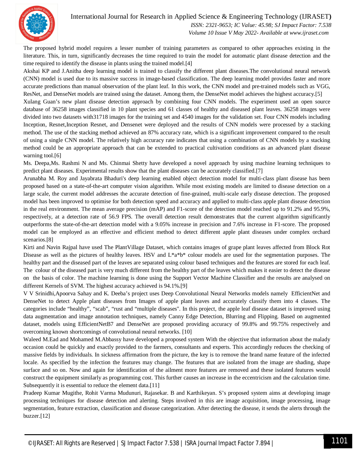

#### International Journal for Research in Applied Science & Engineering Technology (IJRASET**)**

 *ISSN: 2321-9653; IC Value: 45.98; SJ Impact Factor: 7.538 Volume 10 Issue V May 2022- Available at www.ijraset.com*

The proposed hybrid model requires a lesser number of training parameters as compared to other approaches existing in the literature. This, in turn, significantly decreases the time required to train the model for automatic plant disease detection and the time required to identify the disease in plants using the trained model.[4]

Akshai KP and J.Anitha deep learning model is trained to classify the different plant diseases.The convolutional neural network (CNN) model is used due to its massive success in image-based classification. The deep learning model provides faster and more accurate predictions than manual observation of the plant leaf. In this work, the CNN model and pre-trained models such as VGG, ResNet, and DenseNet models are trained using the dataset. Among them, the DenseNet model achieves the highest accuracy.[5]

Xulang Guan's new plant disease detection approach by combining four CNN models. The experiment used an open source database of 36258 images classified in 10 plant species and 61 classes of healthy and diseased plant leaves. 36258 images were divided into two datasets with31718 images for the training set and 4540 images for the validation set. Four CNN models including Inception, Resnet,Inception Resnet, and Densenet were deployed and the results of CNN models were processed by a stacking method. The use of the stacking method achieved an 87% accuracy rate, which is a significant improvement compared to the result of using a single CNN model. The relatively high accuracy rate indicates that using a combination of CNN models by a stacking method could be an appropriate approach that can be extended to practical cultivation conditions as an advanced plant disease warning tool.[6]

Ms. Deepa,Ms. Rashmi N and Ms. Chinmai Shetty have developed a novel approach by using machine learning techniques to predict plant diseases. Experimental results show that the plant diseases can be accurately classified.[7]

Arunabha M. Roy and Jayabrata Bhaduri's deep learning enabled object detection model for multi-class plant disease has been proposed based on a state-of-the-art computer vision algorithm. While most existing models are limited to disease detection on a large scale, the current model addresses the accurate detection of fine-grained, multi-scale early disease detection. The proposed model has been improved to optimise for both detection speed and accuracy and applied to multi-class apple plant disease detection in the real environment. The mean average precision (mAP) and F1-score of the detection model reached up to 91.2% and 95.9%, respectively, at a detection rate of 56.9 FPS. The overall detection result demonstrates that the current algorithm significantly outperforms the state-of-the-art detection model with a 9.05% increase in precision and 7.6% increase in F1-score. The proposed model can be employed as an effective and efficient method to detect different apple plant diseases under complex orchard scenarios.[8]

Kirti and Navin Rajpal have used The PlantVillage Dataset, which contains images of grape plant leaves affected from Block Rot Disease as well as the pictures of healthy leaves. HSV and  $L^*a^*b^*$  colour models are used for the segmentation purposes. The healthy part and the diseased part of the leaves are separated using colour based techniques and the features are stored for each leaf. The colour of the diseased part is very much different from the healthy part of the leaves which makes it easier to detect the disease on the basis of color. The machine learning is done using the Support Vector Machine Classifier and the results are analysed on different Kernels of SVM. The highest accuracy achieved is 94.1%.[9]

V V Srinidhi,Apoorva Sahay and K. Deeba's project uses Deep Convolutional Neural Networks models namely EfficientNet and DenseNet to detect Apple plant diseases from Images of apple plant leaves and accurately classify them into 4 classes. The categories include "healthy", "scab", "rust and "multiple diseases''. In this project, the apple leaf disease dataset is improved using data augmentation and image annotation techniques, namely Canny Edge Detection, Blurring and Flipping. Based on augmented dataset, models using EfficientNetB7 and DenseNet are proposed providing accuracy of 99.8% and 99.75% respectively and overcoming known shortcomings of convolutional neural networks. [10]

Waleed M.Ead and Mohamed M.Abbassy have developed a proposed system With the objective that information about the malady occasion could be quickly and exactly provided to the farmers, consultants and experts. This accordingly reduces the checking of massive fields by individuals. In sickness affirmation from the picture, the key is to remove the brand name feature of the infected locale. As specified by the infection the features may change. The features that are isolated from the image are shading, shape surface and so on. Now and again for identification of the ailment more features are removed and these isolated features would construct the equipment similarly as programming cost. This further causes an increase in the eccentricism and the calculation time. Subsequently it is essential to reduce the element data.<sup>[11]</sup>

Pradeep Kumar Mugithe, Rohit Varma Mudunuri, Rajasekar. B and Karthikeyan. S's proposed system aims at developing image processing techniques for disease detection and alerting. Steps involved in this are image acquisition, image processing, image segmentation, feature extraction, classification and disease categorization. After detecting the disease, it sends the alerts through the buzzer.[12]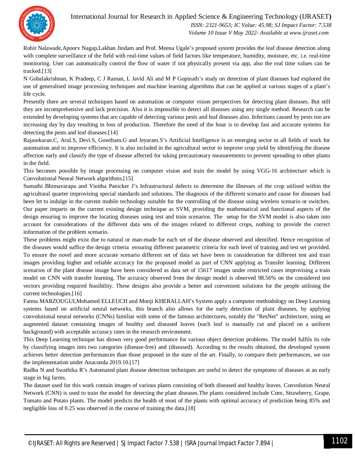

International Journal for Research in Applied Science & Engineering Technology (IJRASET**)**  *ISSN: 2321-9653; IC Value: 45.98; SJ Impact Factor: 7.538*

 *Volume 10 Issue V May 2022- Available at www.ijraset.com*

Rohit Nalawade,Apoorv Nagap,Lakhan Jindam and Prof. Meena Ugale's proposed system provides the leaf disease detection along with complete surveillance of the field with real-time values of field factors like temperature, humidity, moisture, etc. i.e. real-time monitoring. User can automatically control the flow of water if not physically present via app, also the real time values can be tracked.[13]

N Gobalakrishnan, K Pradeep, C J Raman, L Javid Ali and M P Gopinath's study on detection of plant diseases had explored the use of generalised image processing techniques and machine learning algorithms that can be applied at various stages of a plant's life cycle.

Presently there are several techniques based on automation or computer vision perspectives for detecting plant diseases. But still they are incomprehensive and lack precision. Also it is impossible to detect all diseases using any single method. Research can be extended by developing systems that are capable of detecting various pests and leaf diseases also. Infections caused by pests too are increasing day by day resulting in loss of production. Therefore the need of the hour is to develop fast and accurate systems for detecting the pests and leaf diseases.[14]

Rajasekaran.C, Arul.S, Devi.S, Gowtham.G and Jeyaram.S's Artificial Intelligence is an emerging sector in all fields of work for automation and to improve efficiency. It is also included in the agricultural sector to improve crop yield by identifying the disease affection early and classify the type of disease affected for taking precautionary measurements to prevent spreading to other plants in the field.

This becomes possible by image processing on computer vision and train the model by using VGG-16 architecture which is Convolutional Neural Network algorithms.[15]

Sumathi Bhimavarapu and Vinitha Panicker J's Infrastructural defects to determine the illnesses of the crop utilised within the agricultural quarter improvising special standards and solutions. The diagnosis of the different scenario and cause for diseases had been let to indulge in the current mobile technology suitable for the controlling of the disease using wireless scenario or switches. Our paper imparts on the current existing design technique as SVM, providing the mathematical and functional aspects of the design ensuring to improve the locating diseases using test and train scenarios. The setup for the SVM model is also taken into account for considerations of the different data sets of the images related to different crops, nothing to provide the correct information of the problem scenario.

These problems might exist due to natural or man-made for each set of the disease observed and identified. Hence recognition of the diseases would suffice the design criteria ensuring different parametric criteria for each level of training and test set provided. To ensure the novel and more accurate scenario different set of data set have been in consideration for different test and train images providing higher and reliable accuracy for the proposed model as part of CNN applying as Transfer learning. Different scenarios of the plant disease image have been considered as data set of 15617 images under restricted cases improvising a train model on CNN with transfer learning. The accuracy observed from the design model is observed 98.56% on the considered test vectors providing required feasibility. These designs also provide a better and convenient solutions for the people utilising the current technologies.[16]

Fatma MARZOUGUI,Mohamed ELLEUCH and Monji KHERALLAH's System apply a computer methodology on Deep Learning systems based on artificial neural networks, this branch also allows for the early detection of plant diseases, by applying convolutional neural networks (CNNs) familiar with some of the famous architectures, notably the "ResNet" architecture, using an augmented dataset containing images of healthy and diseased leaves (each leaf is manually cut and placed on a uniform background) with acceptable accuracy rates in the research environment.

This Deep Learning technique has shown very good performance for various object detection problems. The model fulfils its role by classifying images into two categories (disease-free) and (diseased). According to the results obtained, the developed system achieves better detection performances than those proposed in the state of the art. Finally, to compare their performances, we use the implementation under Anaconda 2019.10.[17]

Radha N and Swathika R's Automated plant disease detection techniques are useful to detect the symptoms of diseases at an early stage in big farms.

The dataset used for this work contain images of various plants consisting of both diseased and healthy leaves. Convolution Neural Network (CNN) is used to train the model for detecting the plant diseases.The plants considered include Corn, Strawberry, Grape, Tomato and Potato plants. The model predicts the health of most of the plants with optimal accuracy of prediction being 85% and negligible loss of 0.25 was observed in the course of training the data.[18]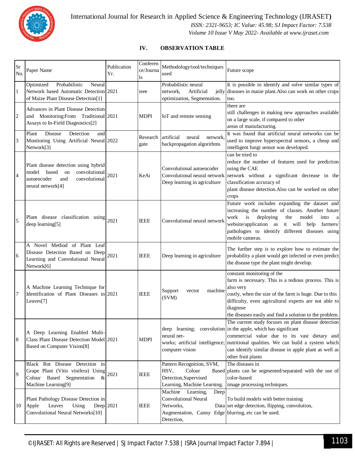

International Journal for Research in Applied Science & Engineering Technology (IJRASET**)**  *ISSN: 2321-9653; IC Value: 45.98; SJ Impact Factor: 7.538 Volume 10 Issue V May 2022- Available at www.ijraset.com*

#### **IV. OBSERVATION TABLE**

| Sr<br>No.      | Paper Name                                                                                                                                | Publication<br>Yr. | Conferen<br>ce/Journa<br>ls | Methodology/tool/techniques<br>used                                                                                                           | Future scope                                                                                                                                                                                                                                                                                                                                 |
|----------------|-------------------------------------------------------------------------------------------------------------------------------------------|--------------------|-----------------------------|-----------------------------------------------------------------------------------------------------------------------------------------------|----------------------------------------------------------------------------------------------------------------------------------------------------------------------------------------------------------------------------------------------------------------------------------------------------------------------------------------------|
| $\mathbf{1}$   | Probabilistic<br>Optimized<br>Neural<br>Network based Automatic Detection 2021<br>of Maize Plant Disease Detection[1]                     |                    | ieee                        | Probabilistic neural<br>Artificial<br>network.<br>optimization, Segmentation.                                                                 | It is possible to identify and solve similar types of<br>jelly diseases in maize plant. Also can work on other crops<br>too.                                                                                                                                                                                                                 |
| 2              | Advances in Plant Disease Detection<br>and Monitoring:From Traditional 2021<br>Assays to In-Field Diagnostics[2]                          |                    | <b>MDPI</b>                 | IoT and remote sensing                                                                                                                        | there are<br>still challenges in making new approaches available<br>on a large scale, if compared to other<br>areas of manufacturing.                                                                                                                                                                                                        |
| 3              | Plant<br>Disease<br>Detection<br>and<br>Monitoring Using Artificial Neural 2022<br>Network[3]                                             |                    | Research<br>gate            | artificial<br>neural<br>network<br>backpropagation algorithms                                                                                 | It was found that artificial neural networks can be<br>used to improve hyperspectral sensors, a cheap and<br>intelligent fungi sensor was developed.                                                                                                                                                                                         |
| $\overline{4}$ | Plant disease detection using hybrid<br>based<br>model<br>convolutional<br>on<br>autoencoder<br>and<br>convolutional<br>neural network[4] | 2021               | KeAi                        | Convolutional autoencoder<br>Deep learning in agriculture                                                                                     | can be tried to<br>reduce the number of features used for prediction<br>using the CAE<br>Convolutional neural network network without a significant decrease in the<br>classification accuracy of<br>plant disease detection. Also can be worked on other<br>crops                                                                           |
| 5              | Plant disease classification using $ 2021 $<br>deep learning[5]                                                                           |                    | <b>IEEE</b>                 | Convolutional neural network                                                                                                                  | Future work includes expanding the dataset and<br>increasing the number of classes. Another future<br>work<br>$\mathbf{a}$<br>model<br>deploying<br>the<br>into<br><sub>a</sub><br>website/application as it will help<br>farmers/<br>pathologies to identify different diseases using<br>mobile cameras.                                    |
| 6              | A Novel Method of Plant Leaf<br>Disease Detection Based on Deep<br>Learning and Convolutional Neural<br>Network[6]                        | 2021               | <b>IEEE</b>                 | Deep learning in agriculture                                                                                                                  | The further step is to explore how to estimate the<br>probability a plant would get infected or even predict<br>the disease type the plant might develop.                                                                                                                                                                                    |
| 7              | A Machine Learning Technique for<br>Identification of Plant Diseases in 2021<br>Leaves[7]                                                 |                    | <b>IEEE</b>                 | Support<br>machine<br>vector<br>(SVM)                                                                                                         | constant monitoring of the<br>farm is necessary. This is a tedious process. This is<br>also very<br>costly, when the size of the farm is huge. Due to this<br>difficulty, even agricultural experts are not able to<br>diagnose<br>the diseases easily and find a solution to the problem.                                                   |
| 8              | A Deep Learning Enabled Multi-<br>Class Plant Disease Detection Model 2021<br><b>Based on Computer Vision[8]</b>                          |                    | <b>MDPI</b>                 | neural net-<br>computer vision                                                                                                                | The current study focuses on plant disease detection<br>deep learning; convolution in the apple, which has significant<br>commercial value due to its vast dietary and<br>works; artificial intelligence; nutritional qualities. We can build a system which<br>can identify similar disease in apple plant as well as<br>other fruit plants |
| 9              | Black Rot Disease Detection in<br>Grape Plant (Vitis vinifera) Using<br>Colour Based Segmentation<br>&<br>Machine Learning[9]             | 2021               | <b>IEEE</b>                 | Pattern Recognition, SVM,<br>Colour<br>HSV,<br>Detection, Supervised<br>Learning, Machine Learning.                                           | The diseases in<br>Based plants can be segmented/separated with the use of<br>color-based<br>image processing techniques.                                                                                                                                                                                                                    |
| 10             | Plant Pathology Disease Detection in<br>Leaves<br>Using<br>Apple<br>Convolutional Neural Networks[10]                                     | Deep $2021$        | <b>IEEE</b>                 | Machine<br>Learning,<br>Deep<br><b>Convolutional Neural</b><br>Networks,<br>Augmentation, Canny Edge blurring, etc can be used.<br>Detection, | To build models with better training<br>Data set edge detection, flipping, convolution,                                                                                                                                                                                                                                                      |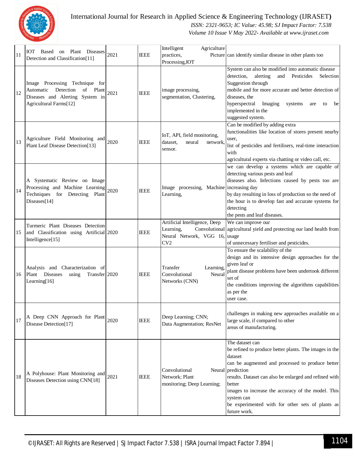

#### International Journal for Research in Applied Science & Engineering Technology (IJRASET**)**

 *ISSN: 2321-9653; IC Value: 45.98; SJ Impact Factor: 7.538*

 *Volume 10 Issue V May 2022- Available at www.ijraset.com*

| 11 | IOT Based on Plant Diseases<br>Detection and Classification[11]                                                                      | 2021 | <b>IEEE</b> | Intelligent<br>Agriculture<br>practices,<br>Processing, IOT                                         | Picture can identify similar disease in other plants too                                                                                                                                                                                                                                                                                                                  |
|----|--------------------------------------------------------------------------------------------------------------------------------------|------|-------------|-----------------------------------------------------------------------------------------------------|---------------------------------------------------------------------------------------------------------------------------------------------------------------------------------------------------------------------------------------------------------------------------------------------------------------------------------------------------------------------------|
| 12 | Image Processing Technique for<br>Detection<br>Automatic<br>Plant<br>of<br>Diseases and Alerting System in<br>Agricultural Farms[12] | 2021 | <b>IEEE</b> | image processing,<br>segmentation, Clustering,                                                      | System can also be modified into automatic disease<br>detection,<br>alerting<br>and<br>Pesticides<br>Selection<br>Suggestion through<br>mobile and for more accurate and better detection of<br>diseases, the<br>hyperspectral<br>Imaging<br>systems<br>are<br>to<br>be<br>implemented in the<br>suggested system.                                                        |
| 13 | Agriculture Field Monitoring and<br>Plant Leaf Disease Detection[13]                                                                 | 2020 | <b>IEEE</b> | IoT, API, field monitoring,<br>neural<br>dataset.<br>network<br>sensor.                             | Can be modified by adding extra<br>functionalities like location of stores present nearby<br>user,<br>list of pesticides and fertilisers, real-time interaction<br>with<br>agricultural experts via chatting or video call, etc.                                                                                                                                          |
| 14 | A Systematic Review on Image<br>Processing and Machine Learning<br>Techniques for Detecting Plant<br>Diseases[14]                    | 2020 | <b>IEEE</b> | Image processing, Machine increasing day<br>Learning,                                               | we can develop a systems which are capable of<br>detecting various pests and leaf<br>diseases also. Infections caused by pests too are<br>by day resulting in loss of production so the need of<br>the hour is to develop fast and accurate systems for<br>detecting<br>the pests and leaf diseases.                                                                      |
| 15 | Turmeric Plant Diseases Detection<br>and Classification using Artificial 2020<br>Intelligence[15]                                    |      | <b>IEEE</b> | Artificial Intelligence, Deep<br>Learning,<br>Convolutional<br>Neural Network, VGG 16, usage<br>CV2 | We can improve our<br>agricultural yield and protecting our land health from<br>of unnecessary fertiliser and pesticides.                                                                                                                                                                                                                                                 |
| 16 | Analysis and Characterization of<br>Plant Diseases<br>Transfer 2020<br>using<br>Learning[16]                                         |      | <b>IEEE</b> | Learning<br>Transfer<br>Neural<br>Convolutional<br>Networks (CNN)                                   | To ensure the scalability of the<br>design and its intensive design approaches for the<br>given leaf or<br>plant disease problems have been undertook different<br>set of<br>the conditions improving the algorithms capabilities<br>as per the<br>user case.                                                                                                             |
| 17 | A Deep CNN Approach for Plant<br>Disease Detection[17]                                                                               | 2020 | <b>IEEE</b> | Deep Learning; CNN;<br>Data Augmentation; ResNet                                                    | challenges in making new approaches available on a<br>large scale, if compared to other<br>areas of manufacturing.                                                                                                                                                                                                                                                        |
| 18 | A Polyhouse: Plant Monitoring and<br>Diseases Detection using CNN[18]                                                                | 2021 | <b>IEEE</b> | Convolutional<br>Network; Plant<br>monitoring; Deep Learning;                                       | The dataset can<br>be refined to produce better plants. The images in the<br>dataset<br>can be augmented and processed to produce better<br>Neural prediction<br>results. Dataset can also be enlarged and refined with<br>better<br>images to increase the accuracy of the model. This<br>system can<br>be experimented with for other sets of plants as<br>future work. |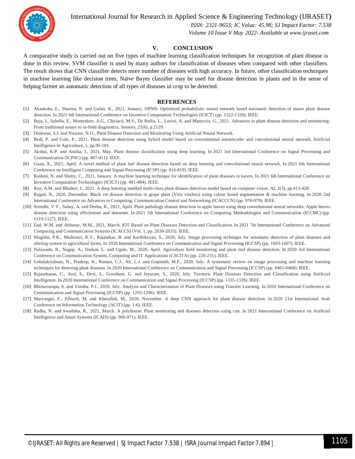International Journal for Research in Applied Science & Engineering Technology (IJRASET**)**



 *ISSN: 2321-9653; IC Value: 45.98; SJ Impact Factor: 7.538 Volume 10 Issue V May 2022- Available at www.ijraset.com*

#### **V. CONCLUSION**

A comparative study is carried out on five types of machine learning classification techniques for recognition of plant disease is done in this review. SVM classifier is used by many authors for classification of diseases when compared with other classifiers. The result shows that CNN classifier detects more number of diseases with high accuracy. In future, other classification techniques in machine learning like decision trees, Naïve Bayes classifier may be used for disease detection in plants and in the sense of helping farmer an automatic detection of all types of diseases in crop to be detected.

#### **REFERENCES**

- [1] Akanksha, E., Sharma, N. and Gulati, K., 2021, January. OPNN: Optimized probabilistic neural network based automatic detection of maize plant disease detection. In 2021 6th International Conference on Inventive Computation Technologies (ICICT) (pp. 1322-1328). IEEE.
- [2] Buja, I., Sabella, E., Monteduro, A.G., Chiriacò, M.S., De Bellis, L., Luvisi, A. and Maruccio, G., 2021. Advances in plant disease detection and monitoring: From traditional assays to in-field diagnostics. Sensors, 21(6), p.2129.
- [3] Orakwue, S.I. and Nwazor, N.O., Plant Disease Detection and Monitoring Using Artificial Neural Network.
- [4] Bedi, P. and Gole, P., 2021. Plant disease detection using hybrid model based on convolutional autoencoder and convolutional neural network. Artificial Intelligence in Agriculture, 5, pp.90-101.
- [5] Akshai, K.P. and Anitha, J., 2021, May. Plant disease classification using deep learning. In 2021 3rd International Conference on Signal Processing and Communication (ICPSC) (pp. 407-411). IEEE.
- [6] Guan, X., 2021, April. A novel method of plant leaf disease detection based on deep learning and convolutional neural network. In 2021 6th International Conference on Intelligent Computing and Signal Processing (ICSP) (pp. 816-819). IEEE.
- [7] Rashmi, N. and Shetty, C., 2021, January. A machine learning technique for identification of plant diseases in leaves. In 2021 6th International Conference on Inventive Computation Technologies (ICICT) (pp. 481-484). IEEE.
- [8] Roy, A.M. and Bhaduri, J., 2021. A deep learning enabled multi-class plant disease detection model based on computer vision. AI, 2(3), pp.413-428.
- [9] Rajpal, N., 2020, December. Black rot disease detection in grape plant (Vitis vinifera) using colour based segmentation & machine learning. In 2020 2nd International Conference on Advances in Computing, Communication Control and Networking (ICACCCN) (pp. 976-979). IEEE.
- [10] Srinidhi, V.V., Sahay, A. and Deeba, K., 2021, April. Plant pathology disease detection in apple leaves using deep convolutional neural networks: Apple leaves disease detection using efficientnet and densenet. In 2021 5th International Conference on Computing Methodologies and Communication (ICCMC) (pp. 1119-1127). IEEE.
- [11] Ead, W.M. and Abbassy, M.M., 2021, March. IOT Based on Plant Diseases Detection and Classification. In 2021 7th International Conference on Advanced Computing and Communication Systems (ICACCS) (Vol. 1, pp. 2030-2033). IEEE.
- [12] Mugithe, P.K., Mudunuri, R.V., Rajasekar, B. and Karthikeyan, S., 2020, July. Image processing technique for automatic detection of plant diseases and alerting system in agricultural farms. In 2020 International Conference on Communication and Signal Processing (ICCSP) (pp. 1603-1607). IEEE.
- [13] Nalawade, R., Nagap, A., Jindam, L. and Ugale, M., 2020, April. Agriculture field monitoring and plant leaf disease detection. In 2020 3rd International Conference on Communication System, Computing and IT Applications (CSCITA) (pp. 226-231). IEEE.
- [14] Gobalakrishnan, N., Pradeep, K., Raman, C.J., Ali, L.J. and Gopinath, M.P., 2020, July. A systematic review on image processing and machine learning techniques for detecting plant diseases. In 2020 International Conference on Communication and Signal Processing (ICCSP) (pp. 0465-0468). IEEE.
- [15] Rajasekaran, C., Arul, S., Devi, S., Gowtham, G. and Jeyaram, S., 2020, July. Turmeric Plant Diseases Detection and Classification using Artificial Intelligence. In 2020 International Conference on Communication and Signal Processing (ICCSP) (pp. 1335-1339). IEEE.
- [16] Bhimavarapu, S. and Vinitha, P.J., 2020, July. Analysis and Characterization of Plant Diseases using Transfer Learning. In 2020 International Conference on Communication and Signal Processing (ICCSP) (pp. 1293-1296). IEEE.
- [17] Marzougui, F., Elleuch, M. and Kherallah, M., 2020, November. A deep CNN approach for plant disease detection. In 2020 21st International Arab Conference on Information Technology (ACIT) (pp. 1-6). IEEE.
- [18] Radha, N. and Swathika, R., 2021, March. A polyhouse: Plant monitoring and diseases detection using cnn. In 2021 International Conference on Artificial Intelligence and Smart Systems (ICAIS) (pp. 966-971). IEEE.